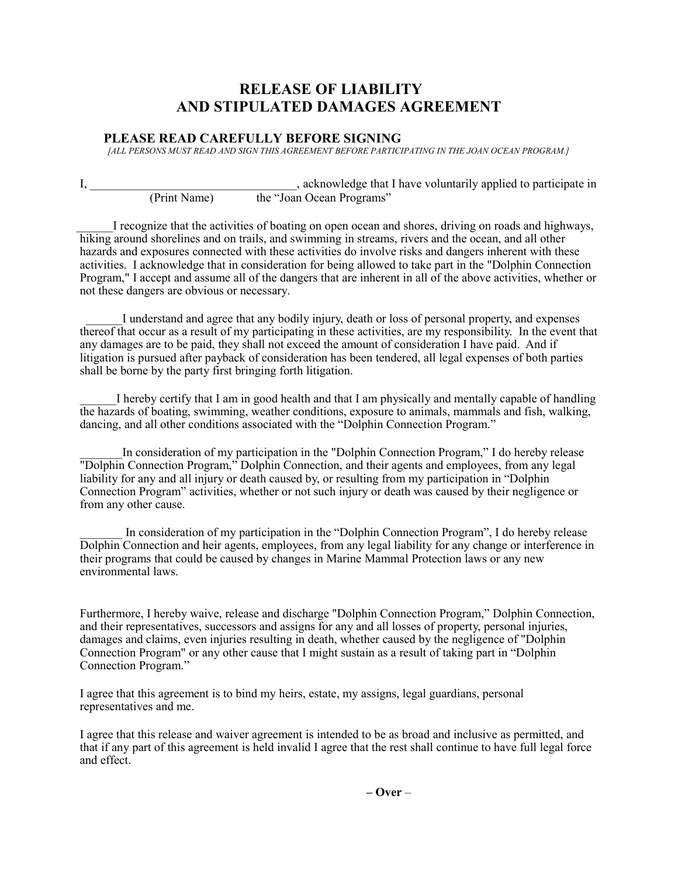## **RELEASE OF LIABILITY AND STIPULATED DAMAGES AGREEMENT**

## **PLEASE READ CAREFULLY BEFORE SIGNING**

*[ALL PERSONS MUST READ AND SIGN THIS AGREEMENT BEFORE PARTICIPATING IN THE JOAN OCEAN PROGRAM.]*

I, the set of the set of the set of the set of the set of the set of the set of the set of the set of the set of the set of the set of the set of the set of the set of the set of the set of the set of the set of the set of (Print Name) the "Joan Ocean Programs"

I recognize that the activities of boating on open ocean and shores, driving on roads and highways, hiking around shorelines and on trails, and swimming in streams, rivers and the ocean, and all other hazards and exposures connected with these activities do involve risks and dangers inherent with these activities. I acknowledge that in consideration for being allowed to take part in the "Dolphin Connection Program," I accept and assume all of the dangers that are inherent in all of the above activities, whether or not these dangers are obvious or necessary.

I understand and agree that any bodily injury, death or loss of personal property, and expenses thereof that occur as a result of my participating in these activities, are my responsibility. In the event that any damages are to be paid, they shall not exceed the amount of consideration I have paid. And if litigation is pursued after payback of consideration has been tendered, all legal expenses of both parties shall be borne by the party first bringing forth litigation.

\_\_\_\_\_\_I hereby certify that I am in good health and that I am physically and mentally capable of handling the hazards of boating, swimming, weather conditions, exposure to animals, mammals and fish, walking, dancing, and all other conditions associated with the "Dolphin Connection Program."

In consideration of my participation in the "Dolphin Connection Program," I do hereby release "Dolphin Connection Program," Dolphin Connection, and their agents and employees, from any legal liability for any and all injury or death caused by, or resulting from my participation in "Dolphin Connection Program" activities, whether or not such injury or death was caused by their negligence or from any other cause.

In consideration of my participation in the "Dolphin Connection Program", I do hereby release Dolphin Connection and heir agents, employees, from any legal liability for any change or interference in their programs that could be caused by changes in Marine Mammal Protection laws or any new environmental laws.

Furthermore, I hereby waive, release and discharge "Dolphin Connection Program," Dolphin Connection, and their representatives, successors and assigns for any and all losses of property, personal injuries, damages and claims, even injuries resulting in death, whether caused by the negligence of "Dolphin Connection Program" or any other cause that I might sustain as a result of taking part in "Dolphin Connection Program."

I agree that this agreement is to bind my heirs, estate, my assigns, legal guardians, personal representatives and me.

I agree that this release and waiver agreement is intended to be as broad and inclusive as permitted, and that if any part of this agreement is held invalid I agree that the rest shall continue to have full legal force and effect.

**– Over** –